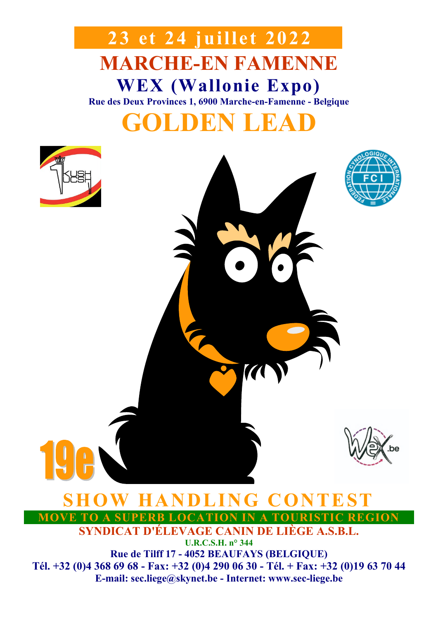# **MARCHE-EN FAMENNE WEX (Wallonie Expo) Rue des Deux Provinces 1, 6900 Marche-en-Famenne - Belgique GOLDEN LEAD 23 et 24 juillet 2022**





## **OW HANDLING CONTEST**

**MOVE TO A SUPERB LOCATION IN A TOURISTIC REGION**

7

**SYNDICAT D'ÉLEVAGE CANIN DE LIÈGE A.S.B.L.**

**U.R.C.S.H. n° 344 Rue de Tilff 17 - 4052 BEAUFAYS (BELGIQUE) Tél. +32 (0)4 368 69 68 - Fax: +32 (0)4 290 06 30 - Tél. + Fax: +32 (0)19 63 70 44 E-mail: sec.liege@skynet.be - Internet: www.sec-liege.be**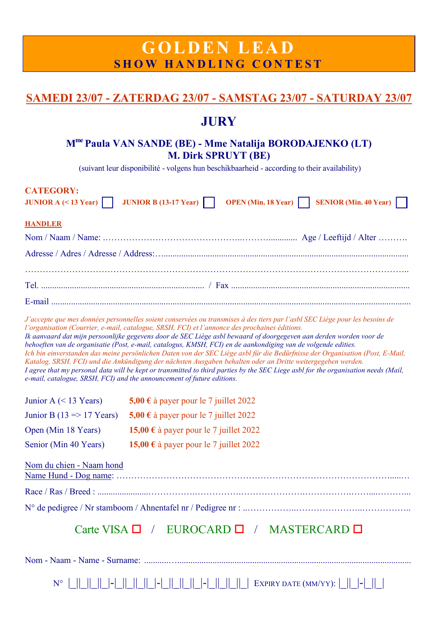## **G O LDEN LEA D SHOW HANDLING CONTEST**

## **SAMEDI 23/07 - ZATERDAG 23/07 - SAMSTAG 23/07 - SATURDAY 23/07**

## **JURY**

### **Mme Paula VAN SANDE (BE) - Mme Natalija BORODAJENKO (LT) M. Dirk SPRUYT (BE)**

(suivant leur disponibilité - volgens hun beschikbaarheid - according to their availability)

| <b>CATEGORY:</b><br>JUNIOR $A \leq 13$ Year)                         | <b>JUNIOR B</b> (13-17 Year) $\vert$<br><b>OPEN</b> (Min. 18 Year) $\vert$<br><b>SENIOR</b> (Min. 40 Year)                                                                                                                                                                                                                                                                                                                                                                                                                                                                                                                                                                                                                                                                                                                                                                                                                          |  |
|----------------------------------------------------------------------|-------------------------------------------------------------------------------------------------------------------------------------------------------------------------------------------------------------------------------------------------------------------------------------------------------------------------------------------------------------------------------------------------------------------------------------------------------------------------------------------------------------------------------------------------------------------------------------------------------------------------------------------------------------------------------------------------------------------------------------------------------------------------------------------------------------------------------------------------------------------------------------------------------------------------------------|--|
| <b>HANDLER</b>                                                       |                                                                                                                                                                                                                                                                                                                                                                                                                                                                                                                                                                                                                                                                                                                                                                                                                                                                                                                                     |  |
|                                                                      |                                                                                                                                                                                                                                                                                                                                                                                                                                                                                                                                                                                                                                                                                                                                                                                                                                                                                                                                     |  |
|                                                                      |                                                                                                                                                                                                                                                                                                                                                                                                                                                                                                                                                                                                                                                                                                                                                                                                                                                                                                                                     |  |
|                                                                      |                                                                                                                                                                                                                                                                                                                                                                                                                                                                                                                                                                                                                                                                                                                                                                                                                                                                                                                                     |  |
|                                                                      |                                                                                                                                                                                                                                                                                                                                                                                                                                                                                                                                                                                                                                                                                                                                                                                                                                                                                                                                     |  |
|                                                                      |                                                                                                                                                                                                                                                                                                                                                                                                                                                                                                                                                                                                                                                                                                                                                                                                                                                                                                                                     |  |
|                                                                      | J'accepte que mes données personnelles soient conservées ou transmises à des tiers par l'asbl SEC Liège pour les besoins de<br>l'organisation (Courrier, e-mail, catalogue, SRSH, FCI) et l'annonce des prochaines éditions.<br>Ik aanvaard dat mijn persoonlijke gegevens door de SEC Liège asbl bewaard of doorgegeven aan derden worden voor de<br>behoeften van de organisatie (Post, e-mail, catalogus, KMSH, FCI) en de aankondiging van de volgende edities.<br>Ich bin einverstanden das meine persönlichen Daten von der SEC Liège asbl für die Bedürfnisse der Organisation (Post, E-Mail,<br>Katalog, SRSH, FCI) und die Ankündigung der nächsten Ausgaben behalten oder an Dritte weitergegeben werden.<br>I agree that my personal data will be kept or transmitted to third parties by the SEC Liege asbl for the organisation needs (Mail,<br>e-mail, catalogue, SRSH, FCI) and the announcement of future editions. |  |
| Junior A $(< 13$ Years)                                              | 5,00 € à payer pour le 7 juillet 2022                                                                                                                                                                                                                                                                                                                                                                                                                                                                                                                                                                                                                                                                                                                                                                                                                                                                                               |  |
| Junior B (13 $\Rightarrow$ 17 Years)                                 | 5,00 € à payer pour le 7 juillet 2022                                                                                                                                                                                                                                                                                                                                                                                                                                                                                                                                                                                                                                                                                                                                                                                                                                                                                               |  |
| Open (Min 18 Years)                                                  | 15,00 € à payer pour le 7 juillet 2022                                                                                                                                                                                                                                                                                                                                                                                                                                                                                                                                                                                                                                                                                                                                                                                                                                                                                              |  |
| Senior (Min 40 Years)                                                | 15,00 € à payer pour le 7 juillet 2022                                                                                                                                                                                                                                                                                                                                                                                                                                                                                                                                                                                                                                                                                                                                                                                                                                                                                              |  |
| Nom du chien - Naam hond<br>Carte VISA □ / EUROCARD □ / MASTERCARD □ |                                                                                                                                                                                                                                                                                                                                                                                                                                                                                                                                                                                                                                                                                                                                                                                                                                                                                                                                     |  |
|                                                                      |                                                                                                                                                                                                                                                                                                                                                                                                                                                                                                                                                                                                                                                                                                                                                                                                                                                                                                                                     |  |

N° |\_||\_||\_||\_|-|\_||\_||\_||\_|-|\_||\_||\_||\_|-|\_||\_||\_||\_| EXPIRY DATE (MM/YY): |\_||\_|-|\_||\_|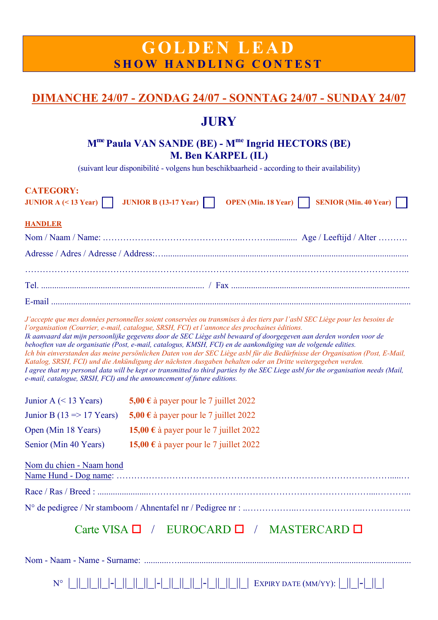## **G O LDEN LEA D SHOW HANDLING CONTEST**

## **DIMANCHE 24/07 - ZONDAG 24/07 - SONNTAG 24/07 - SUNDAY 24/07**

## **JURY**

## **Mme Paula VAN SANDE (BE) - Mme Ingrid HECTORS (BE) M. Ben KARPEL (IL)**

(suivant leur disponibilité - volgens hun beschikbaarheid - according to their availability)

| <b>CATEGORY:</b><br>JUNIOR A $($ < 13 Year) | <b>JUNIOR B</b> (13-17 Year) $\vert$<br><b>SENIOR</b> (Min. 40 Year)<br><b>OPEN</b> (Min. 18 Year) $\vert$                                                                                                                                                                                                                                                                                                                                                                                                                                                                                                                                                                                                                                                                                                                                                                                                                          |  |
|---------------------------------------------|-------------------------------------------------------------------------------------------------------------------------------------------------------------------------------------------------------------------------------------------------------------------------------------------------------------------------------------------------------------------------------------------------------------------------------------------------------------------------------------------------------------------------------------------------------------------------------------------------------------------------------------------------------------------------------------------------------------------------------------------------------------------------------------------------------------------------------------------------------------------------------------------------------------------------------------|--|
| <b>HANDLER</b>                              |                                                                                                                                                                                                                                                                                                                                                                                                                                                                                                                                                                                                                                                                                                                                                                                                                                                                                                                                     |  |
|                                             |                                                                                                                                                                                                                                                                                                                                                                                                                                                                                                                                                                                                                                                                                                                                                                                                                                                                                                                                     |  |
|                                             |                                                                                                                                                                                                                                                                                                                                                                                                                                                                                                                                                                                                                                                                                                                                                                                                                                                                                                                                     |  |
|                                             |                                                                                                                                                                                                                                                                                                                                                                                                                                                                                                                                                                                                                                                                                                                                                                                                                                                                                                                                     |  |
|                                             |                                                                                                                                                                                                                                                                                                                                                                                                                                                                                                                                                                                                                                                                                                                                                                                                                                                                                                                                     |  |
|                                             |                                                                                                                                                                                                                                                                                                                                                                                                                                                                                                                                                                                                                                                                                                                                                                                                                                                                                                                                     |  |
|                                             | J'accepte que mes données personnelles soient conservées ou transmises à des tiers par l'asbl SEC Liège pour les besoins de<br>l'organisation (Courrier, e-mail, catalogue, SRSH, FCI) et l'annonce des prochaines éditions.<br>Ik aanvaard dat mijn persoonlijke gegevens door de SEC Liège asbl bewaard of doorgegeven aan derden worden voor de<br>behoeften van de organisatie (Post, e-mail, catalogus, KMSH, FCI) en de aankondiging van de volgende edities.<br>Ich bin einverstanden das meine persönlichen Daten von der SEC Liège asbl für die Bedürfnisse der Organisation (Post, E-Mail,<br>Katalog, SRSH, FCI) und die Ankündigung der nächsten Ausgaben behalten oder an Dritte weitergegeben werden.<br>I agree that my personal data will be kept or transmitted to third parties by the SEC Liege asbl for the organisation needs (Mail,<br>e-mail, catalogue, SRSH, FCI) and the announcement of future editions. |  |
| Junior A $(< 13$ Years)                     | 5,00 € à payer pour le 7 juillet 2022                                                                                                                                                                                                                                                                                                                                                                                                                                                                                                                                                                                                                                                                                                                                                                                                                                                                                               |  |
| Junior B (13 $\Rightarrow$ 17 Years)        | 5,00 € à payer pour le 7 juillet 2022                                                                                                                                                                                                                                                                                                                                                                                                                                                                                                                                                                                                                                                                                                                                                                                                                                                                                               |  |
| Open (Min 18 Years)                         | 15,00 € à payer pour le 7 juillet 2022                                                                                                                                                                                                                                                                                                                                                                                                                                                                                                                                                                                                                                                                                                                                                                                                                                                                                              |  |
| Senior (Min 40 Years)                       | 15,00 € à payer pour le 7 juillet 2022                                                                                                                                                                                                                                                                                                                                                                                                                                                                                                                                                                                                                                                                                                                                                                                                                                                                                              |  |
| Nom du chien - Naam hond                    |                                                                                                                                                                                                                                                                                                                                                                                                                                                                                                                                                                                                                                                                                                                                                                                                                                                                                                                                     |  |
|                                             |                                                                                                                                                                                                                                                                                                                                                                                                                                                                                                                                                                                                                                                                                                                                                                                                                                                                                                                                     |  |
|                                             |                                                                                                                                                                                                                                                                                                                                                                                                                                                                                                                                                                                                                                                                                                                                                                                                                                                                                                                                     |  |
| Carte VISA □ / EUROCARD □ / MASTERCARD □    |                                                                                                                                                                                                                                                                                                                                                                                                                                                                                                                                                                                                                                                                                                                                                                                                                                                                                                                                     |  |
|                                             |                                                                                                                                                                                                                                                                                                                                                                                                                                                                                                                                                                                                                                                                                                                                                                                                                                                                                                                                     |  |

N° |\_||\_||\_||\_|-|\_||\_||\_||\_|-|\_||\_||\_||\_|-|\_||\_||\_||\_| EXPIRY DATE (MM/YY): |\_||\_|-|\_||\_|